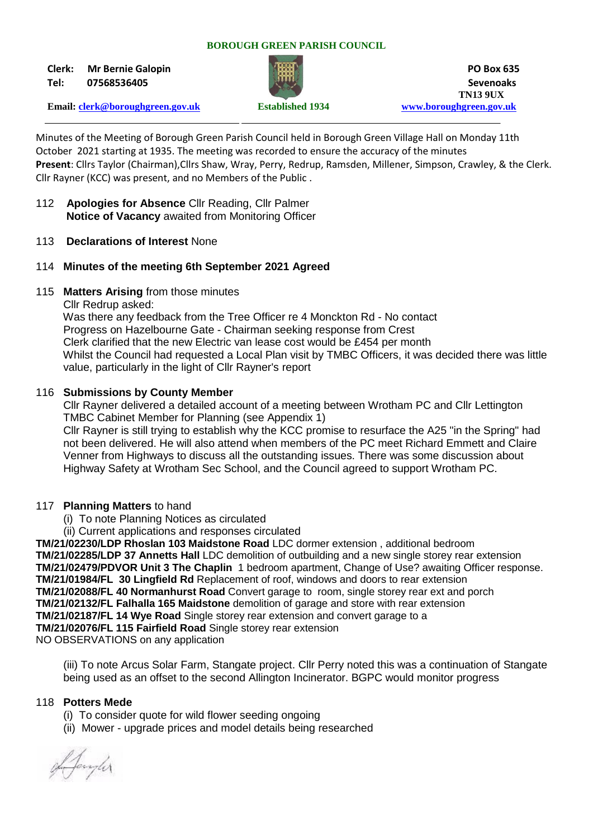#### **BOROUGH GREEN PARISH COUNCIL**

**Clerk: Mr Bernie Galopin PO Box 635**



**Tel: 07568536405 Sevenoaks TN13 9UX Email: [clerk@boroughgreen.gov.uk](mailto:clerk@boroughgreen.gov.uk) Established 1934 [www.boroughgreen.gov.uk](http://www.boroughgreen.gov.uk/)**

Minutes of the Meeting of Borough Green Parish Council held in Borough Green Village Hall on Monday 11th October 2021 starting at 1935. The meeting was recorded to ensure the accuracy of the minutes **Present**: Cllrs Taylor (Chairman),Cllrs Shaw, Wray, Perry, Redrup, Ramsden, Millener, Simpson, Crawley, & the Clerk. Cllr Rayner (KCC) was present, and no Members of the Public .

- 112 **Apologies for Absence** Cllr Reading, Cllr Palmer  **Notice of Vacancy** awaited from Monitoring Officer
- 113 **Declarations of Interest** None
- 114 **Minutes of the meeting 6th September 2021 Agreed**
- 115 **Matters Arising** from those minutes

Cllr Redrup asked:

 Was there any feedback from the Tree Officer re 4 Monckton Rd - No contact Progress on Hazelbourne Gate - Chairman seeking response from Crest Clerk clarified that the new Electric van lease cost would be £454 per month Whilst the Council had requested a Local Plan visit by TMBC Officers, it was decided there was little value, particularly in the light of Cllr Rayner's report

### 116 **Submissions by County Member**

Cllr Rayner delivered a detailed account of a meeting between Wrotham PC and Cllr Lettington TMBC Cabinet Member for Planning (see Appendix 1)

 Cllr Rayner is still trying to establish why the KCC promise to resurface the A25 "in the Spring" had not been delivered. He will also attend when members of the PC meet Richard Emmett and Claire Venner from Highways to discuss all the outstanding issues. There was some discussion about Highway Safety at Wrotham Sec School, and the Council agreed to support Wrotham PC.

### 117 **Planning Matters** to hand

(i) To note Planning Notices as circulated

(ii) Current applications and responses circulated

**TM/21/02230/LDP Rhoslan 103 Maidstone Road** LDC dormer extension , additional bedroom **TM/21/02285/LDP 37 Annetts Hall** LDC demolition of outbuilding and a new single storey rear extension **TM/21/02479/PDVOR Unit 3 The Chaplin** 1 bedroom apartment, Change of Use? awaiting Officer response. **TM/21/01984/FL 30 Lingfield Rd** Replacement of roof, windows and doors to rear extension **TM/21/02088/FL 40 Normanhurst Road** Convert garage to room, single storey rear ext and porch **TM/21/02132/FL Falhalla 165 Maidstone** demolition of garage and store with rear extension **TM/21/02187/FL 14 Wye Road** Single storey rear extension and convert garage to a **TM/21/02076/FL 115 Fairfield Road** Single storey rear extension NO OBSERVATIONS on any application

 (iii) To note Arcus Solar Farm, Stangate project. Cllr Perry noted this was a continuation of Stangate being used as an offset to the second Allington Incinerator. BGPC would monitor progress

### 118 **Potters Mede**

- (i) To consider quote for wild flower seeding ongoing
- (ii) Mower upgrade prices and model details being researched

Afangler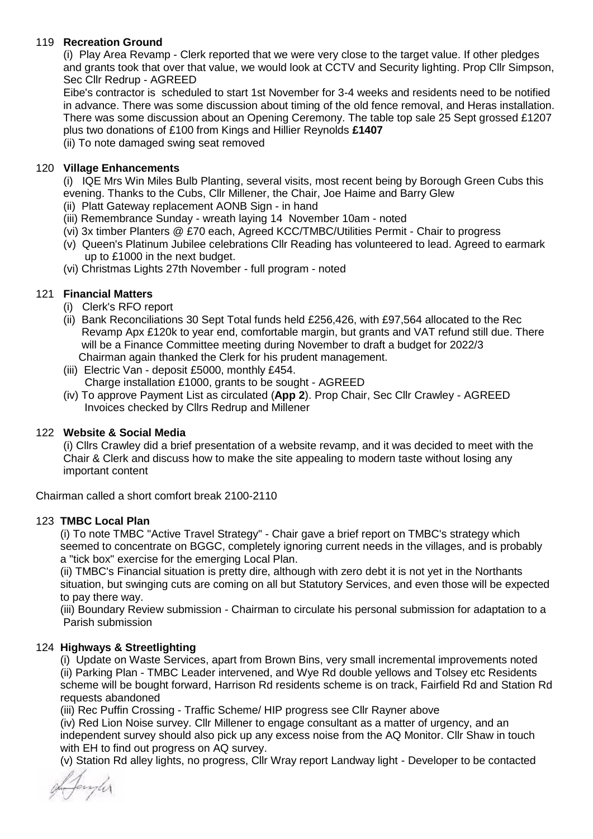### 119 **Recreation Ground**

 (i) Play Area Revamp - Clerk reported that we were very close to the target value. If other pledges and grants took that over that value, we would look at CCTV and Security lighting. Prop Cllr Simpson, Sec Cllr Redrup - AGREED

 Eibe's contractor is scheduled to start 1st November for 3-4 weeks and residents need to be notified in advance. There was some discussion about timing of the old fence removal, and Heras installation. There was some discussion about an Opening Ceremony. The table top sale 25 Sept grossed £1207 plus two donations of £100 from Kings and Hillier Reynolds **£1407**

(ii) To note damaged swing seat removed

### 120 **Village Enhancements**

 (i) IQE Mrs Win Miles Bulb Planting, several visits, most recent being by Borough Green Cubs this evening. Thanks to the Cubs, Cllr Millener, the Chair, Joe Haime and Barry Glew

(ii) Platt Gateway replacement AONB Sign - in hand

- (iii) Remembrance Sunday wreath laying 14 November 10am noted
- (vi) 3x timber Planters @ £70 each, Agreed KCC/TMBC/Utilities Permit Chair to progress
- (v) Queen's Platinum Jubilee celebrations Cllr Reading has volunteered to lead. Agreed to earmark up to £1000 in the next budget.
- (vi) Christmas Lights 27th November full program noted

### 121 **Financial Matters**

- (i) Clerk's RFO report
- (ii) Bank Reconciliations 30 Sept Total funds held £256,426, with £97,564 allocated to the Rec Revamp Apx £120k to year end, comfortable margin, but grants and VAT refund still due. There will be a Finance Committee meeting during November to draft a budget for 2022/3 Chairman again thanked the Clerk for his prudent management.
- (iii) Electric Van deposit £5000, monthly £454. Charge installation £1000, grants to be sought - AGREED
- (iv) To approve Payment List as circulated (**App 2**). Prop Chair, Sec Cllr Crawley AGREED Invoices checked by Cllrs Redrup and Millener

### 122 **Website & Social Media**

 (i) Cllrs Crawley did a brief presentation of a website revamp, and it was decided to meet with the Chair & Clerk and discuss how to make the site appealing to modern taste without losing any important content

Chairman called a short comfort break 2100-2110

### 123 **TMBC Local Plan**

 (i) To note TMBC "Active Travel Strategy" - Chair gave a brief report on TMBC's strategy which seemed to concentrate on BGGC, completely ignoring current needs in the villages, and is probably a "tick box" exercise for the emerging Local Plan.

 (ii) TMBC's Financial situation is pretty dire, although with zero debt it is not yet in the Northants situation, but swinging cuts are coming on all but Statutory Services, and even those will be expected to pay there way.

 (iii) Boundary Review submission - Chairman to circulate his personal submission for adaptation to a Parish submission

### 124 **Highways & Streetlighting**

 (i) Update on Waste Services, apart from Brown Bins, very small incremental improvements noted (ii) Parking Plan - TMBC Leader intervened, and Wye Rd double yellows and Tolsey etc Residents scheme will be bought forward, Harrison Rd residents scheme is on track, Fairfield Rd and Station Rd requests abandoned

(iii) Rec Puffin Crossing - Traffic Scheme/ HIP progress see Cllr Rayner above

 (iv) Red Lion Noise survey. Cllr Millener to engage consultant as a matter of urgency, and an independent survey should also pick up any excess noise from the AQ Monitor. Cllr Shaw in touch with EH to find out progress on AQ survey.

(v) Station Rd alley lights, no progress, Cllr Wray report Landway light - Developer to be contacted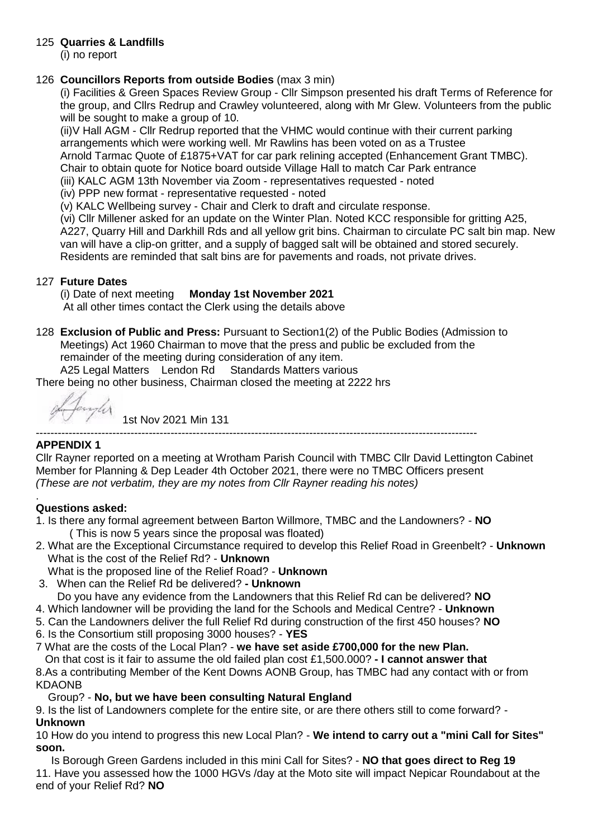# 125 **Quarries & Landfills**

(i) no report

# 126 **Councillors Reports from outside Bodies** (max 3 min)

 (i) Facilities & Green Spaces Review Group - Cllr Simpson presented his draft Terms of Reference for the group, and Cllrs Redrup and Crawley volunteered, along with Mr Glew. Volunteers from the public will be sought to make a group of 10.

 (ii)V Hall AGM - Cllr Redrup reported that the VHMC would continue with their current parking arrangements which were working well. Mr Rawlins has been voted on as a Trustee Arnold Tarmac Quote of £1875+VAT for car park relining accepted (Enhancement Grant TMBC). Chair to obtain quote for Notice board outside Village Hall to match Car Park entrance

(iii) KALC AGM 13th November via Zoom - representatives requested - noted

(iv) PPP new format - representative requested - noted

(v) KALC Wellbeing survey - Chair and Clerk to draft and circulate response.

 (vi) Cllr Millener asked for an update on the Winter Plan. Noted KCC responsible for gritting A25, A227, Quarry Hill and Darkhill Rds and all yellow grit bins. Chairman to circulate PC salt bin map. New van will have a clip-on gritter, and a supply of bagged salt will be obtained and stored securely. Residents are reminded that salt bins are for pavements and roads, not private drives.

# 127 **Future Dates**

# (i) Date of next meeting **Monday 1st November 2021**

At all other times contact the Clerk using the details above

128 **Exclusion of Public and Press:** Pursuant to Section1(2) of the Public Bodies (Admission to Meetings) Act 1960 Chairman to move that the press and public be excluded from the remainder of the meeting during consideration of any item. A25 Legal Matters Lendon Rd Standards Matters various

There being no other business, Chairman closed the meeting at 2222 hrs

1st Nov 2021 Min 131

-------------------------------------------------------------------------------------------------------------------------

# **APPENDIX 1**

Cllr Rayner reported on a meeting at Wrotham Parish Council with TMBC Cllr David Lettington Cabinet Member for Planning & Dep Leader 4th October 2021, there were no TMBC Officers present *(These are not verbatim, they are my notes from Cllr Rayner reading his notes)*

#### . **Questions asked:**

- 1. Is there any formal agreement between Barton Willmore, TMBC and the Landowners? **NO** ( This is now 5 years since the proposal was floated)
- 2. What are the Exceptional Circumstance required to develop this Relief Road in Greenbelt? **Unknown** What is the cost of the Relief Rd? - **Unknown**
- What is the proposed line of the Relief Road? **Unknown**
- 3. When can the Relief Rd be delivered? **- Unknown**

Do you have any evidence from the Landowners that this Relief Rd can be delivered? **NO**

- 4. Which landowner will be providing the land for the Schools and Medical Centre? **Unknown**
- 5. Can the Landowners deliver the full Relief Rd during construction of the first 450 houses? **NO**
- 6. Is the Consortium still proposing 3000 houses? **YES**
- 7 What are the costs of the Local Plan? **we have set aside £700,000 for the new Plan.**

 On that cost is it fair to assume the old failed plan cost £1,500.000? **- I cannot answer that** 8.As a contributing Member of the Kent Downs AONB Group, has TMBC had any contact with or from

KDAONB

# Group? - **No, but we have been consulting Natural England**

9. Is the list of Landowners complete for the entire site, or are there others still to come forward? - **Unknown**

10 How do you intend to progress this new Local Plan? - **We intend to carry out a "mini Call for Sites" soon.**

 Is Borough Green Gardens included in this mini Call for Sites? - **NO that goes direct to Reg 19** 11. Have you assessed how the 1000 HGVs /day at the Moto site will impact Nepicar Roundabout at the end of your Relief Rd? **NO**